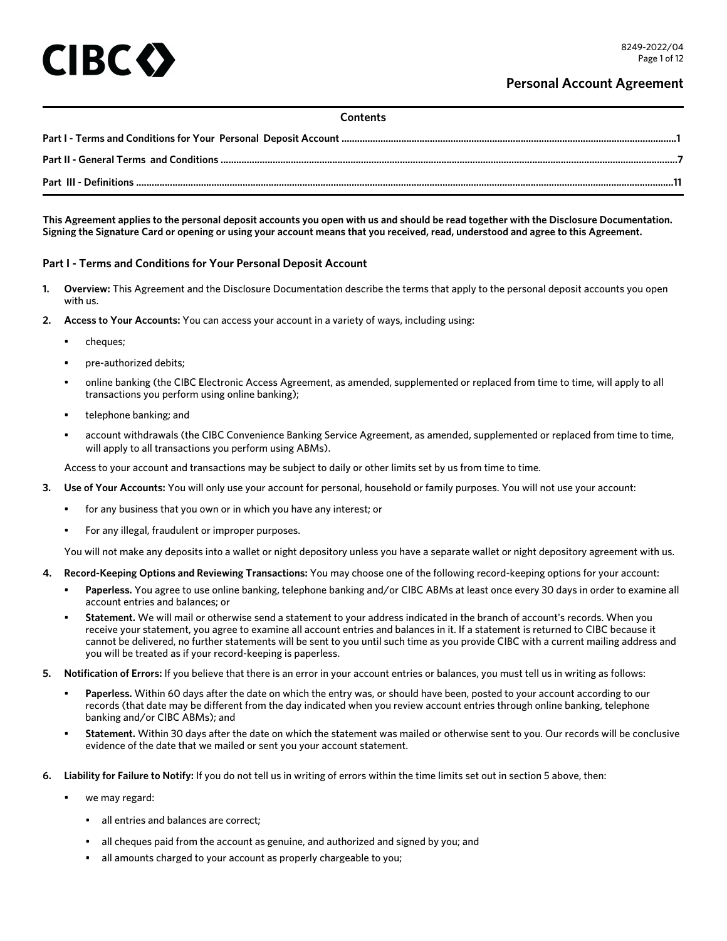# IBC <

## **Contents**

**This Agreement applies to the personal deposit accounts you open with us and should be read together with the Disclosure Documentation. Signing the Signature Card or opening or using your account means that you received, read, understood and agree to this Agreement.**

# **Part I - Terms and Conditions for Your Personal Deposit Account**

- **1. Overview:** This Agreement and the Disclosure Documentation describe the terms that apply to the personal deposit accounts you open with us.
- **2. Access to Your Accounts:** You can access your account in a variety of ways, including using:
	- cheques;
	- pre-authorized debits;
	- online banking (the CIBC Electronic Access Agreement, as amended, supplemented or replaced from time to time, will apply to all transactions you perform using online banking);
	- telephone banking; and
	- account withdrawals (the CIBC Convenience Banking Service Agreement, as amended, supplemented or replaced from time to time, will apply to all transactions you perform using ABMs).

Access to your account and transactions may be subject to daily or other limits set by us from time to time.

- **3. Use of Your Accounts:** You will only use your account for personal, household or family purposes. You will not use your account:
	- for any business that you own or in which you have any interest; or
	- For any illegal, fraudulent or improper purposes.

You will not make any deposits into a wallet or night depository unless you have a separate wallet or night depository agreement with us.

- **4. Record-Keeping Options and Reviewing Transactions:** You may choose one of the following record-keeping options for your account:
	- **Paperless.** You agree to use online banking, telephone banking and/or CIBC ABMs at least once every 30 days in order to examine all account entries and balances; or
	- **Statement.** We will mail or otherwise send a statement to your address indicated in the branch of account's records. When you receive your statement, you agree to examine all account entries and balances in it. If a statement is returned to CIBC because it cannot be delivered, no further statements will be sent to you until such time as you provide CIBC with a current mailing address and you will be treated as if your record-keeping is paperless.
- **5. Notification of Errors:** If you believe that there is an error in your account entries or balances, you must tell us in writing as follows:
	- **Paperless.** Within 60 days after the date on which the entry was, or should have been, posted to your account according to our records (that date may be different from the day indicated when you review account entries through online banking, telephone banking and/or CIBC ABMs); and
	- **Statement.** Within 30 days after the date on which the statement was mailed or otherwise sent to you. Our records will be conclusive evidence of the date that we mailed or sent you your account statement.
- **6. Liability for Failure to Notify:** If you do not tell us in writing of errors within the time limits set out in section 5 above, then:
	- we may regard:
		- all entries and balances are correct;
		- all cheques paid from the account as genuine, and authorized and signed by you; and
		- all amounts charged to your account as properly chargeable to you;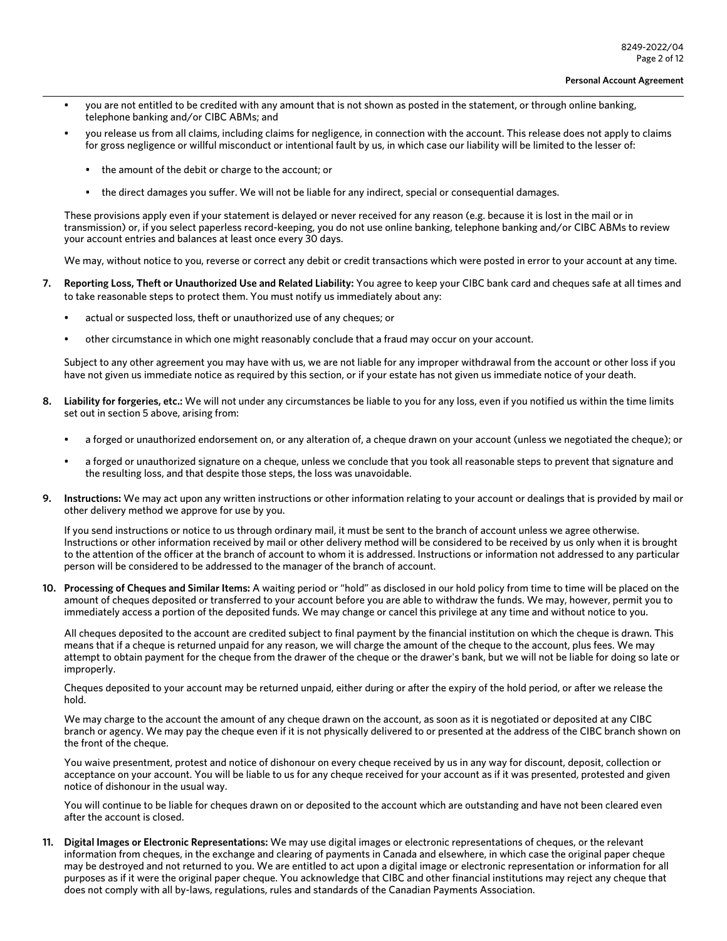- you are not entitled to be credited with any amount that is not shown as posted in the statement, or through online banking, telephone banking and/or CIBC ABMs; and
- you release us from all claims, including claims for negligence, in connection with the account. This release does not apply to claims for gross negligence or willful misconduct or intentional fault by us, in which case our liability will be limited to the lesser of:
	- the amount of the debit or charge to the account; or
	- the direct damages you suffer. We will not be liable for any indirect, special or consequential damages.

These provisions apply even if your statement is delayed or never received for any reason (e.g. because it is lost in the mail or in transmission) or, if you select paperless record-keeping, you do not use online banking, telephone banking and/or CIBC ABMs to review your account entries and balances at least once every 30 days.

We may, without notice to you, reverse or correct any debit or credit transactions which were posted in error to your account at any time.

- **7. Reporting Loss, Theft or Unauthorized Use and Related Liability:** You agree to keep your CIBC bank card and cheques safe at all times and to take reasonable steps to protect them. You must notify us immediately about any:
	- actual or suspected loss, theft or unauthorized use of any cheques; or
	- other circumstance in which one might reasonably conclude that a fraud may occur on your account.

Subject to any other agreement you may have with us, we are not liable for any improper withdrawal from the account or other loss if you have not given us immediate notice as required by this section, or if your estate has not given us immediate notice of your death.

- **8. Liability for forgeries, etc.:** We will not under any circumstances be liable to you for any loss, even if you notified us within the time limits set out in section 5 above, arising from:
	- a forged or unauthorized endorsement on, or any alteration of, a cheque drawn on your account (unless we negotiated the cheque); or
	- a forged or unauthorized signature on a cheque, unless we conclude that you took all reasonable steps to prevent that signature and the resulting loss, and that despite those steps, the loss was unavoidable.
- **9. Instructions:** We may act upon any written instructions or other information relating to your account or dealings that is provided by mail or other delivery method we approve for use by you.

If you send instructions or notice to us through ordinary mail, it must be sent to the branch of account unless we agree otherwise. Instructions or other information received by mail or other delivery method will be considered to be received by us only when it is brought to the attention of the officer at the branch of account to whom it is addressed. Instructions or information not addressed to any particular person will be considered to be addressed to the manager of the branch of account.

**10. Processing of Cheques and Similar Items:** A waiting period or "hold" as disclosed in our hold policy from time to time will be placed on the amount of cheques deposited or transferred to your account before you are able to withdraw the funds. We may, however, permit you to immediately access a portion of the deposited funds. We may change or cancel this privilege at any time and without notice to you.

All cheques deposited to the account are credited subject to final payment by the financial institution on which the cheque is drawn. This means that if a cheque is returned unpaid for any reason, we will charge the amount of the cheque to the account, plus fees. We may attempt to obtain payment for the cheque from the drawer of the cheque or the drawer's bank, but we will not be liable for doing so late or improperly.

Cheques deposited to your account may be returned unpaid, either during or after the expiry of the hold period, or after we release the hold.

We may charge to the account the amount of any cheque drawn on the account, as soon as it is negotiated or deposited at any CIBC branch or agency. We may pay the cheque even if it is not physically delivered to or presented at the address of the CIBC branch shown on the front of the cheque.

You waive presentment, protest and notice of dishonour on every cheque received by us in any way for discount, deposit, collection or acceptance on your account. You will be liable to us for any cheque received for your account as if it was presented, protested and given notice of dishonour in the usual way.

You will continue to be liable for cheques drawn on or deposited to the account which are outstanding and have not been cleared even after the account is closed.

**11. Digital Images or Electronic Representations:** We may use digital images or electronic representations of cheques, or the relevant information from cheques, in the exchange and clearing of payments in Canada and elsewhere, in which case the original paper cheque may be destroyed and not returned to you. We are entitled to act upon a digital image or electronic representation or information for all purposes as if it were the original paper cheque. You acknowledge that CIBC and other financial institutions may reject any cheque that does not comply with all by-laws, regulations, rules and standards of the Canadian Payments Association.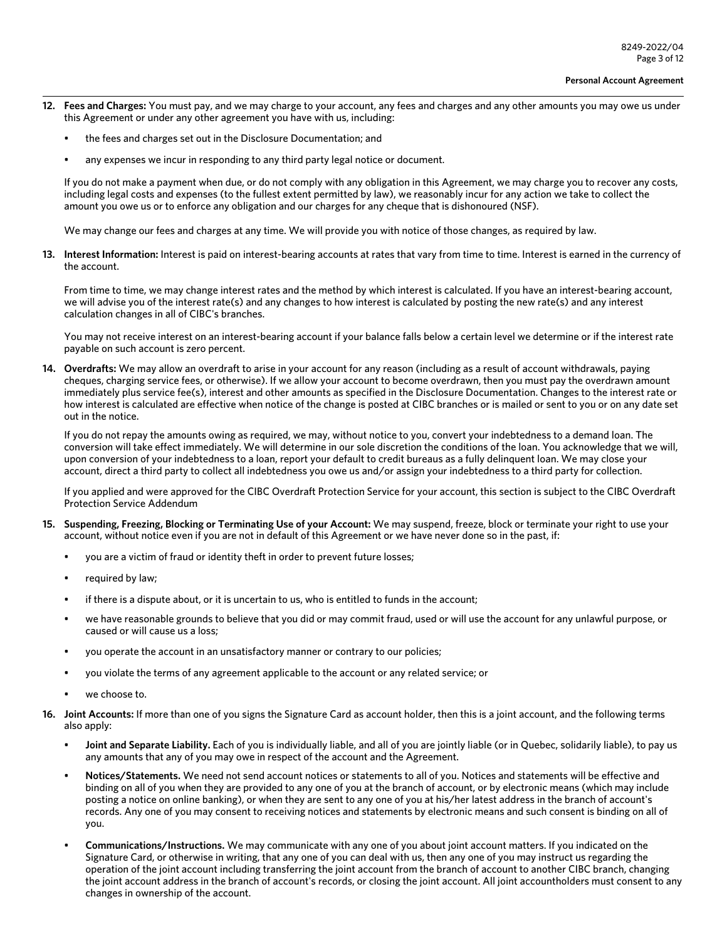- **12. Fees and Charges:** You must pay, and we may charge to your account, any fees and charges and any other amounts you may owe us under this Agreement or under any other agreement you have with us, including:
	- the fees and charges set out in the Disclosure Documentation; and
	- any expenses we incur in responding to any third party legal notice or document.

If you do not make a payment when due, or do not comply with any obligation in this Agreement, we may charge you to recover any costs, including legal costs and expenses (to the fullest extent permitted by law), we reasonably incur for any action we take to collect the amount you owe us or to enforce any obligation and our charges for any cheque that is dishonoured (NSF).

We may change our fees and charges at any time. We will provide you with notice of those changes, as required by law.

**13. Interest Information:** Interest is paid on interest-bearing accounts at rates that vary from time to time. Interest is earned in the currency of the account.

From time to time, we may change interest rates and the method by which interest is calculated. If you have an interest-bearing account, we will advise you of the interest rate(s) and any changes to how interest is calculated by posting the new rate(s) and any interest calculation changes in all of CIBC's branches.

You may not receive interest on an interest-bearing account if your balance falls below a certain level we determine or if the interest rate payable on such account is zero percent.

**14. Overdrafts:** We may allow an overdraft to arise in your account for any reason (including as a result of account withdrawals, paying cheques, charging service fees, or otherwise). If we allow your account to become overdrawn, then you must pay the overdrawn amount immediately plus service fee(s), interest and other amounts as specified in the Disclosure Documentation. Changes to the interest rate or how interest is calculated are effective when notice of the change is posted at CIBC branches or is mailed or sent to you or on any date set out in the notice.

If you do not repay the amounts owing as required, we may, without notice to you, convert your indebtedness to a demand loan. The conversion will take effect immediately. We will determine in our sole discretion the conditions of the loan. You acknowledge that we will, upon conversion of your indebtedness to a loan, report your default to credit bureaus as a fully delinquent loan. We may close your account, direct a third party to collect all indebtedness you owe us and/or assign your indebtedness to a third party for collection.

If you applied and were approved for the CIBC Overdraft Protection Service for your account, this section is subject to the CIBC Overdraft Protection Service Addendum

- **15. Suspending, Freezing, Blocking or Terminating Use of your Account:** We may suspend, freeze, block or terminate your right to use your account, without notice even if you are not in default of this Agreement or we have never done so in the past, if:
	- you are a victim of fraud or identity theft in order to prevent future losses;
	- required by law;
	- if there is a dispute about, or it is uncertain to us, who is entitled to funds in the account;
	- we have reasonable grounds to believe that you did or may commit fraud, used or will use the account for any unlawful purpose, or caused or will cause us a loss;
	- you operate the account in an unsatisfactory manner or contrary to our policies;
	- you violate the terms of any agreement applicable to the account or any related service; or
	- we choose to.
- **16. Joint Accounts:** If more than one of you signs the Signature Card as account holder, then this is a joint account, and the following terms also apply:
	- **Joint and Separate Liability.** Each of you is individually liable, and all of you are jointly liable (or in Quebec, solidarily liable), to pay us any amounts that any of you may owe in respect of the account and the Agreement.
	- **Notices/Statements.** We need not send account notices or statements to all of you. Notices and statements will be effective and binding on all of you when they are provided to any one of you at the branch of account, or by electronic means (which may include posting a notice on online banking), or when they are sent to any one of you at his/her latest address in the branch of account's records. Any one of you may consent to receiving notices and statements by electronic means and such consent is binding on all of you.
	- **Communications/Instructions.** We may communicate with any one of you about joint account matters. If you indicated on the Signature Card, or otherwise in writing, that any one of you can deal with us, then any one of you may instruct us regarding the operation of the joint account including transferring the joint account from the branch of account to another CIBC branch, changing the joint account address in the branch of account's records, or closing the joint account. All joint accountholders must consent to any changes in ownership of the account.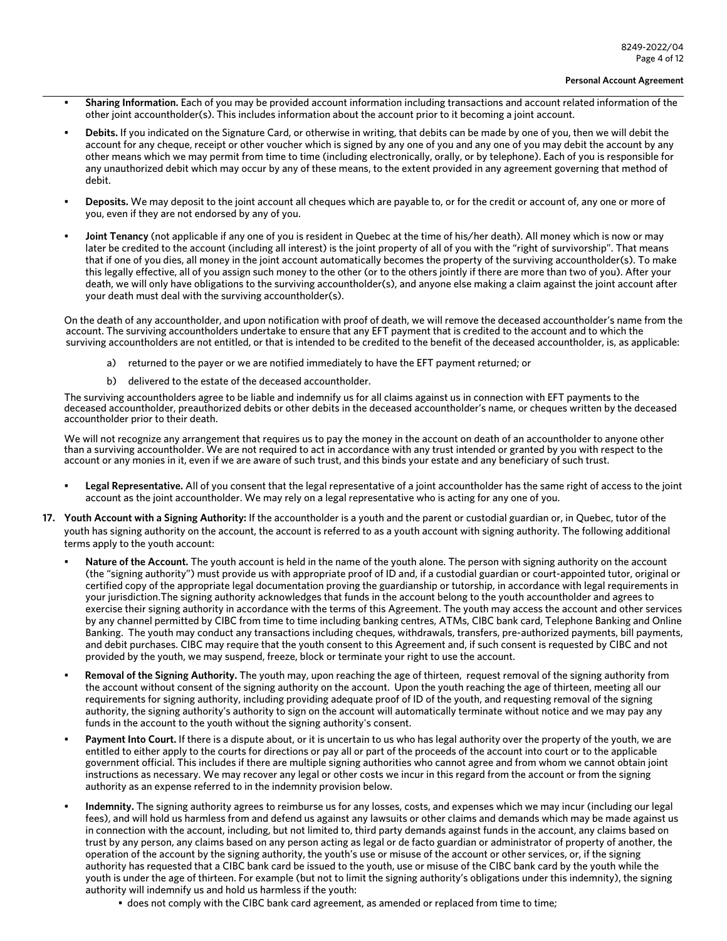- **Sharing Information.** Each of you may be provided account information including transactions and account related information of the other joint accountholder(s). This includes information about the account prior to it becoming a joint account.
- **Debits.** If you indicated on the Signature Card, or otherwise in writing, that debits can be made by one of you, then we will debit the account for any cheque, receipt or other voucher which is signed by any one of you and any one of you may debit the account by any other means which we may permit from time to time (including electronically, orally, or by telephone). Each of you is responsible for any unauthorized debit which may occur by any of these means, to the extent provided in any agreement governing that method of debit.
- **Deposits.** We may deposit to the joint account all cheques which are payable to, or for the credit or account of, any one or more of you, even if they are not endorsed by any of you.
- **Joint Tenancy** (not applicable if any one of you is resident in Quebec at the time of his/her death). All money which is now or may later be credited to the account (including all interest) is the joint property of all of you with the "right of survivorship". That means that if one of you dies, all money in the joint account automatically becomes the property of the surviving accountholder(s). To make this legally effective, all of you assign such money to the other (or to the others jointly if there are more than two of you). After your death, we will only have obligations to the surviving accountholder(s), and anyone else making a claim against the joint account after your death must deal with the surviving accountholder(s).

On the death of any accountholder, and upon notification with proof of death, we will remove the deceased accountholder's name from the account. The surviving accountholders undertake to ensure that any EFT payment that is credited to the account and to which the surviving accountholders are not entitled, or that is intended to be credited to the benefit of the deceased accountholder, is, as applicable:

- a) returned to the payer or we are notified immediately to have the EFT payment returned; or
- b) delivered to the estate of the deceased accountholder.

The surviving accountholders agree to be liable and indemnify us for all claims against us in connection with EFT payments to the deceased accountholder, preauthorized debits or other debits in the deceased accountholder's name, or cheques written by the deceased accountholder prior to their death.

We will not recognize any arrangement that requires us to pay the money in the account on death of an accountholder to anyone other than a surviving accountholder. We are not required to act in accordance with any trust intended or granted by you with respect to the account or any monies in it, even if we are aware of such trust, and this binds your estate and any beneficiary of such trust.

- **Legal Representative.** All of you consent that the legal representative of a joint accountholder has the same right of access to the joint account as the joint accountholder. We may rely on a legal representative who is acting for any one of you.
- **17. Youth Account with a Signing Authority:** If the accountholder is a youth and the parent or custodial guardian or, in Quebec, tutor of the youth has signing authority on the account, the account is referred to as a youth account with signing authority. The following additional terms apply to the youth account:
	- **Nature of the Account.** The youth account is held in the name of the youth alone. The person with signing authority on the account (the "signing authority") must provide us with appropriate proof of ID and, if a custodial guardian or court-appointed tutor, original or certified copy of the appropriate legal documentation proving the guardianship or tutorship, in accordance with legal requirements in your jurisdiction.The signing authority acknowledges that funds in the account belong to the youth accountholder and agrees to exercise their signing authority in accordance with the terms of this Agreement. The youth may access the account and other services by any channel permitted by CIBC from time to time including banking centres, ATMs, CIBC bank card, Telephone Banking and Online Banking. The youth may conduct any transactions including cheques, withdrawals, transfers, pre-authorized payments, bill payments, and debit purchases. CIBC may require that the youth consent to this Agreement and, if such consent is requested by CIBC and not provided by the youth, we may suspend, freeze, block or terminate your right to use the account.
	- **Removal of the Signing Authority.** The youth may, upon reaching the age of thirteen, request removal of the signing authority from the account without consent of the signing authority on the account. Upon the youth reaching the age of thirteen, meeting all our requirements for signing authority, including providing adequate proof of ID of the youth, and requesting removal of the signing authority, the signing authority's authority to sign on the account will automatically terminate without notice and we may pay any funds in the account to the youth without the signing authority's consent.
	- **Payment Into Court.** If there is a dispute about, or it is uncertain to us who has legal authority over the property of the youth, we are entitled to either apply to the courts for directions or pay all or part of the proceeds of the account into court or to the applicable government official. This includes if there are multiple signing authorities who cannot agree and from whom we cannot obtain joint instructions as necessary. We may recover any legal or other costs we incur in this regard from the account or from the signing authority as an expense referred to in the indemnity provision below.
	- **Indemnity.** The signing authority agrees to reimburse us for any losses, costs, and expenses which we may incur (including our legal fees), and will hold us harmless from and defend us against any lawsuits or other claims and demands which may be made against us in connection with the account, including, but not limited to, third party demands against funds in the account, any claims based on trust by any person, any claims based on any person acting as legal or de facto guardian or administrator of property of another, the operation of the account by the signing authority, the youth's use or misuse of the account or other services, or, if the signing authority has requested that a CIBC bank card be issued to the youth, use or misuse of the CIBC bank card by the youth while the youth is under the age of thirteen. For example (but not to limit the signing authority's obligations under this indemnity), the signing authority will indemnify us and hold us harmless if the youth:
		- does not comply with the CIBC bank card agreement, as amended or replaced from time to time;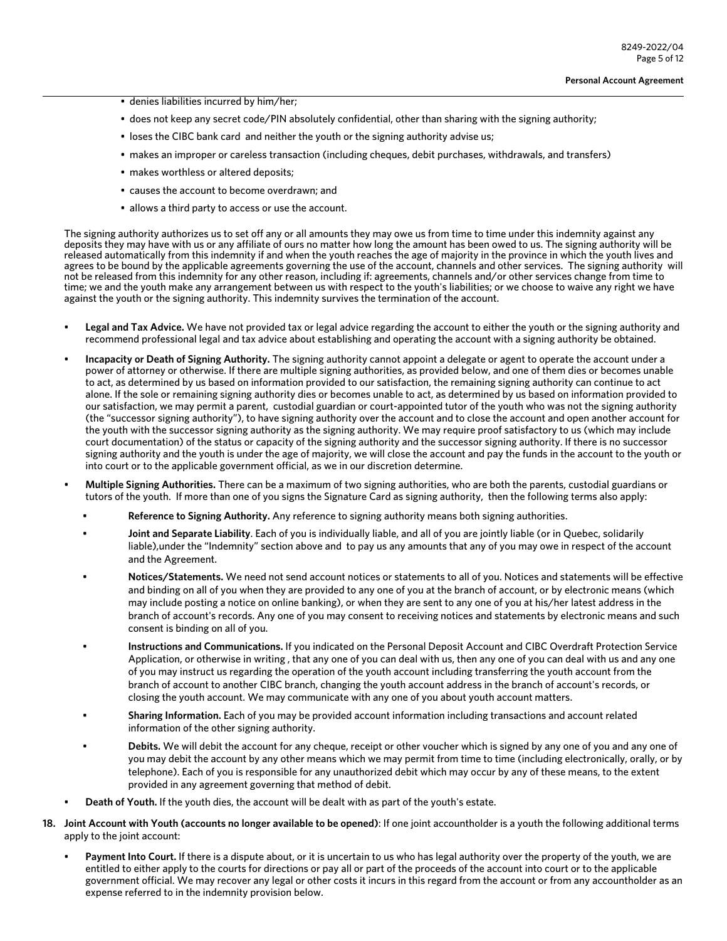- denies liabilities incurred by him/her;
- does not keep any secret code/PIN absolutely confidential, other than sharing with the signing authority;
- loses the CIBC bank card and neither the youth or the signing authority advise us;
- makes an improper or careless transaction (including cheques, debit purchases, withdrawals, and transfers)
- makes worthless or altered deposits;
- causes the account to become overdrawn; and
- allows a third party to access or use the account.

The signing authority authorizes us to set off any or all amounts they may owe us from time to time under this indemnity against any deposits they may have with us or any affiliate of ours no matter how long the amount has been owed to us. The signing authority will be released automatically from this indemnity if and when the youth reaches the age of majority in the province in which the youth lives and agrees to be bound by the applicable agreements governing the use of the account, channels and other services. The signing authority will not be released from this indemnity for any other reason, including if: agreements, channels and/or other services change from time to time; we and the youth make any arrangement between us with respect to the youth's liabilities; or we choose to waive any right we have against the youth or the signing authority. This indemnity survives the termination of the account.

- **Legal and Tax Advice.** We have not provided tax or legal advice regarding the account to either the youth or the signing authority and recommend professional legal and tax advice about establishing and operating the account with a signing authority be obtained.
- **Incapacity or Death of Signing Authority.** The signing authority cannot appoint a delegate or agent to operate the account under a power of attorney or otherwise. If there are multiple signing authorities, as provided below, and one of them dies or becomes unable to act, as determined by us based on information provided to our satisfaction, the remaining signing authority can continue to act alone. If the sole or remaining signing authority dies or becomes unable to act, as determined by us based on information provided to our satisfaction, we may permit a parent, custodial guardian or court-appointed tutor of the youth who was not the signing authority (the "successor signing authority"), to have signing authority over the account and to close the account and open another account for the youth with the successor signing authority as the signing authority. We may require proof satisfactory to us (which may include court documentation) of the status or capacity of the signing authority and the successor signing authority. If there is no successor signing authority and the youth is under the age of majority, we will close the account and pay the funds in the account to the youth or into court or to the applicable government official, as we in our discretion determine.
- **Multiple Signing Authorities.** There can be a maximum of two signing authorities, who are both the parents, custodial guardians or tutors of the youth. If more than one of you signs the Signature Card as signing authority, then the following terms also apply:
	- **Reference to Signing Authority.** Any reference to signing authority means both signing authorities.
	- **Joint and Separate Liability**. Each of you is individually liable, and all of you are jointly liable (or in Quebec, solidarily liable),under the "Indemnity" section above and to pay us any amounts that any of you may owe in respect of the account and the Agreement.
	- **Notices/Statements.** We need not send account notices or statements to all of you. Notices and statements will be effective and binding on all of you when they are provided to any one of you at the branch of account, or by electronic means (which may include posting a notice on online banking), or when they are sent to any one of you at his/her latest address in the branch of account's records. Any one of you may consent to receiving notices and statements by electronic means and such consent is binding on all of you.
	- **Instructions and Communications.** If you indicated on the Personal Deposit Account and CIBC Overdraft Protection Service Application, or otherwise in writing , that any one of you can deal with us, then any one of you can deal with us and any one of you may instruct us regarding the operation of the youth account including transferring the youth account from the branch of account to another CIBC branch, changing the youth account address in the branch of account's records, or closing the youth account. We may communicate with any one of you about youth account matters.
	- **Sharing Information.** Each of you may be provided account information including transactions and account related information of the other signing authority.
	- **Debits.** We will debit the account for any cheque, receipt or other voucher which is signed by any one of you and any one of you may debit the account by any other means which we may permit from time to time (including electronically, orally, or by telephone). Each of you is responsible for any unauthorized debit which may occur by any of these means, to the extent provided in any agreement governing that method of debit.
- **Death of Youth.** If the youth dies, the account will be dealt with as part of the youth's estate.
- **18. Joint Account with Youth (accounts no longer available to be opened)**: If one joint accountholder is a youth the following additional terms apply to the joint account:
	- **Payment Into Court.** If there is a dispute about, or it is uncertain to us who has legal authority over the property of the youth, we are entitled to either apply to the courts for directions or pay all or part of the proceeds of the account into court or to the applicable government official. We may recover any legal or other costs it incurs in this regard from the account or from any accountholder as an expense referred to in the indemnity provision below.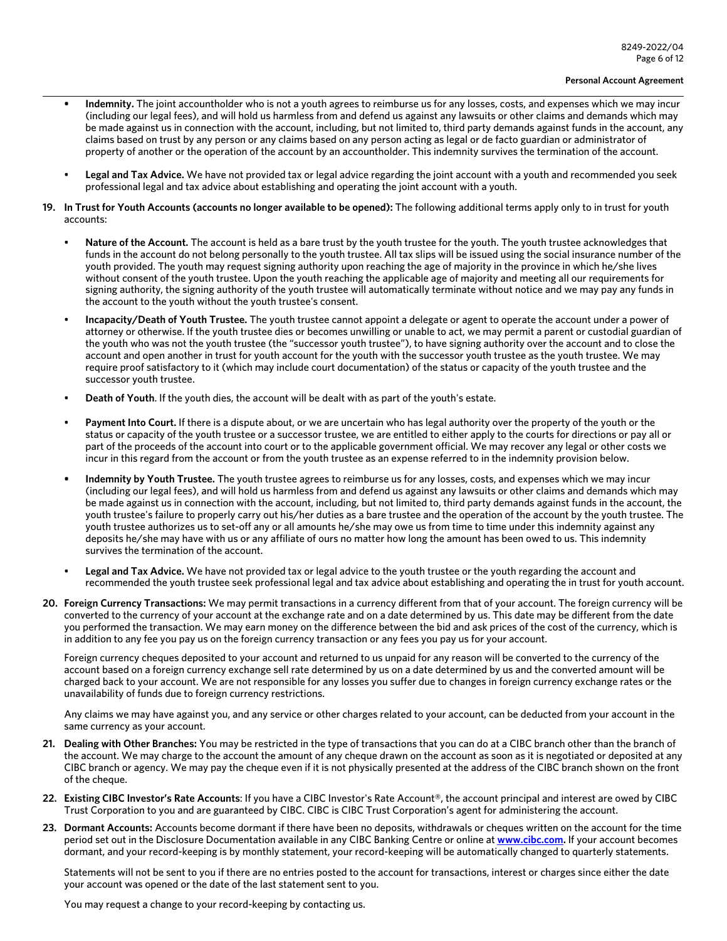- **• Indemnity.** The joint accountholder who is not a youth agrees to reimburse us for any losses, costs, and expenses which we may incur (including our legal fees), and will hold us harmless from and defend us against any lawsuits or other claims and demands which may be made against us in connection with the account, including, but not limited to, third party demands against funds in the account, any claims based on trust by any person or any claims based on any person acting as legal or de facto guardian or administrator of property of another or the operation of the account by an accountholder. This indemnity survives the termination of the account.
- **Legal and Tax Advice.** We have not provided tax or legal advice regarding the joint account with a youth and recommended you seek professional legal and tax advice about establishing and operating the joint account with a youth.
- **19. In Trust for Youth Accounts (accounts no longer available to be opened):** The following additional terms apply only to in trust for youth accounts:
	- Nature of the Account. The account is held as a bare trust by the youth trustee for the youth. The youth trustee acknowledges that funds in the account do not belong personally to the youth trustee. All tax slips will be issued using the social insurance number of the youth provided. The youth may request signing authority upon reaching the age of majority in the province in which he/she lives without consent of the youth trustee. Upon the youth reaching the applicable age of majority and meeting all our requirements for signing authority, the signing authority of the youth trustee will automatically terminate without notice and we may pay any funds in the account to the youth without the youth trustee's consent.
	- **Incapacity/Death of Youth Trustee.** The youth trustee cannot appoint a delegate or agent to operate the account under a power of attorney or otherwise. If the youth trustee dies or becomes unwilling or unable to act, we may permit a parent or custodial guardian of the youth who was not the youth trustee (the "successor youth trustee"), to have signing authority over the account and to close the account and open another in trust for youth account for the youth with the successor youth trustee as the youth trustee. We may require proof satisfactory to it (which may include court documentation) of the status or capacity of the youth trustee and the successor youth trustee.
	- **Death of Youth**. If the youth dies, the account will be dealt with as part of the youth's estate.
	- **Payment Into Court.** If there is a dispute about, or we are uncertain who has legal authority over the property of the youth or the status or capacity of the youth trustee or a successor trustee, we are entitled to either apply to the courts for directions or pay all or part of the proceeds of the account into court or to the applicable government official. We may recover any legal or other costs we incur in this regard from the account or from the youth trustee as an expense referred to in the indemnity provision below.
	- **• Indemnity by Youth Trustee.** The youth trustee agrees to reimburse us for any losses, costs, and expenses which we may incur (including our legal fees), and will hold us harmless from and defend us against any lawsuits or other claims and demands which may be made against us in connection with the account, including, but not limited to, third party demands against funds in the account, the youth trustee's failure to properly carry out his/her duties as a bare trustee and the operation of the account by the youth trustee. The youth trustee authorizes us to set-off any or all amounts he/she may owe us from time to time under this indemnity against any deposits he/she may have with us or any affiliate of ours no matter how long the amount has been owed to us. This indemnity survives the termination of the account.
	- **Legal and Tax Advice.** We have not provided tax or legal advice to the youth trustee or the youth regarding the account and recommended the youth trustee seek professional legal and tax advice about establishing and operating the in trust for youth account.
- **20. Foreign Currency Transactions:** We may permit transactions in a currency different from that of your account. The foreign currency will be converted to the currency of your account at the exchange rate and on a date determined by us. This date may be different from the date you performed the transaction. We may earn money on the difference between the bid and ask prices of the cost of the currency, which is in addition to any fee you pay us on the foreign currency transaction or any fees you pay us for your account.

Foreign currency cheques deposited to your account and returned to us unpaid for any reason will be converted to the currency of the account based on a foreign currency exchange sell rate determined by us on a date determined by us and the converted amount will be charged back to your account. We are not responsible for any losses you suffer due to changes in foreign currency exchange rates or the unavailability of funds due to foreign currency restrictions.

Any claims we may have against you, and any service or other charges related to your account, can be deducted from your account in the same currency as your account.

- **21. Dealing with Other Branches:** You may be restricted in the type of transactions that you can do at a CIBC branch other than the branch of the account. We may charge to the account the amount of any cheque drawn on the account as soon as it is negotiated or deposited at any CIBC branch or agency. We may pay the cheque even if it is not physically presented at the address of the CIBC branch shown on the front of the cheque.
- **22. Existing CIBC Investor's Rate Accounts**: If you have a CIBC Investor's Rate Account®, the account principal and interest are owed by CIBC Trust Corporation to you and are guaranteed by CIBC. CIBC is CIBC Trust Corporation's agent for administering the account.
- **23. Dormant Accounts:** Accounts become dormant if there have been no deposits, withdrawals or cheques written on the account for the time period set out in the Disclosure Documentation available in any CIBC Banking Centre or online at **[www.cibc.com.](www.cibc.com)** If your account becomes dormant, and your record-keeping is by monthly statement, your record-keeping will be automatically changed to quarterly statements.

Statements will not be sent to you if there are no entries posted to the account for transactions, interest or charges since either the date your account was opened or the date of the last statement sent to you.

You may request a change to your record-keeping by contacting us.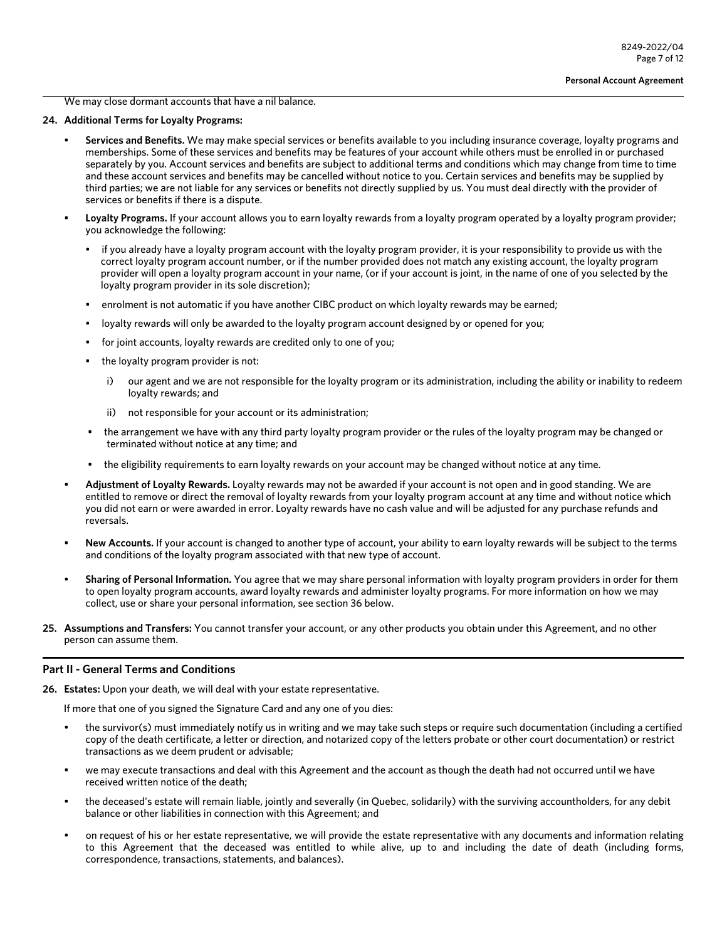We may close dormant accounts that have a nil balance.

# **24. Additional Terms for Loyalty Programs:**

- **Services and Benefits.** We may make special services or benefits available to you including insurance coverage, loyalty programs and memberships. Some of these services and benefits may be features of your account while others must be enrolled in or purchased separately by you. Account services and benefits are subject to additional terms and conditions which may change from time to time and these account services and benefits may be cancelled without notice to you. Certain services and benefits may be supplied by third parties; we are not liable for any services or benefits not directly supplied by us. You must deal directly with the provider of services or benefits if there is a dispute.
- **Loyalty Programs.** If your account allows you to earn loyalty rewards from a loyalty program operated by a loyalty program provider; you acknowledge the following:
	- if you already have a loyalty program account with the loyalty program provider, it is your responsibility to provide us with the correct loyalty program account number, or if the number provided does not match any existing account, the loyalty program provider will open a loyalty program account in your name, (or if your account is joint, in the name of one of you selected by the loyalty program provider in its sole discretion);
	- enrolment is not automatic if you have another CIBC product on which loyalty rewards may be earned;
	- loyalty rewards will only be awarded to the loyalty program account designed by or opened for you;
	- for joint accounts, loyalty rewards are credited only to one of you;
	- the loyalty program provider is not:
		- i) our agent and we are not responsible for the loyalty program or its administration, including the ability or inability to redeem loyalty rewards; and
		- ii) not responsible for your account or its administration;
	- the arrangement we have with any third party loyalty program provider or the rules of the loyalty program may be changed or terminated without notice at any time; and
	- the eligibility requirements to earn loyalty rewards on your account may be changed without notice at any time.
- **Adjustment of Loyalty Rewards.** Loyalty rewards may not be awarded if your account is not open and in good standing. We are entitled to remove or direct the removal of loyalty rewards from your loyalty program account at any time and without notice which you did not earn or were awarded in error. Loyalty rewards have no cash value and will be adjusted for any purchase refunds and reversals.
- **New Accounts.** If your account is changed to another type of account, your ability to earn loyalty rewards will be subject to the terms and conditions of the loyalty program associated with that new type of account.
- **Sharing of Personal Information.** You agree that we may share personal information with loyalty program providers in order for them to open loyalty program accounts, award loyalty rewards and administer loyalty programs. For more information on how we may collect, use or share your personal information, see section 36 below.
- **25. Assumptions and Transfers:** You cannot transfer your account, or any other products you obtain under this Agreement, and no other person can assume them.

## **Part II - General Terms and Conditions**

**26. Estates:** Upon your death, we will deal with your estate representative.

If more that one of you signed the Signature Card and any one of you dies:

- the survivor(s) must immediately notify us in writing and we may take such steps or require such documentation (including a certified copy of the death certificate, a letter or direction, and notarized copy of the letters probate or other court documentation) or restrict transactions as we deem prudent or advisable;
- we may execute transactions and deal with this Agreement and the account as though the death had not occurred until we have received written notice of the death;
- the deceased's estate will remain liable, jointly and severally (in Quebec, solidarily) with the surviving accountholders, for any debit balance or other liabilities in connection with this Agreement; and
- on request of his or her estate representative, we will provide the estate representative with any documents and information relating to this Agreement that the deceased was entitled to while alive, up to and including the date of death (including forms, correspondence, transactions, statements, and balances).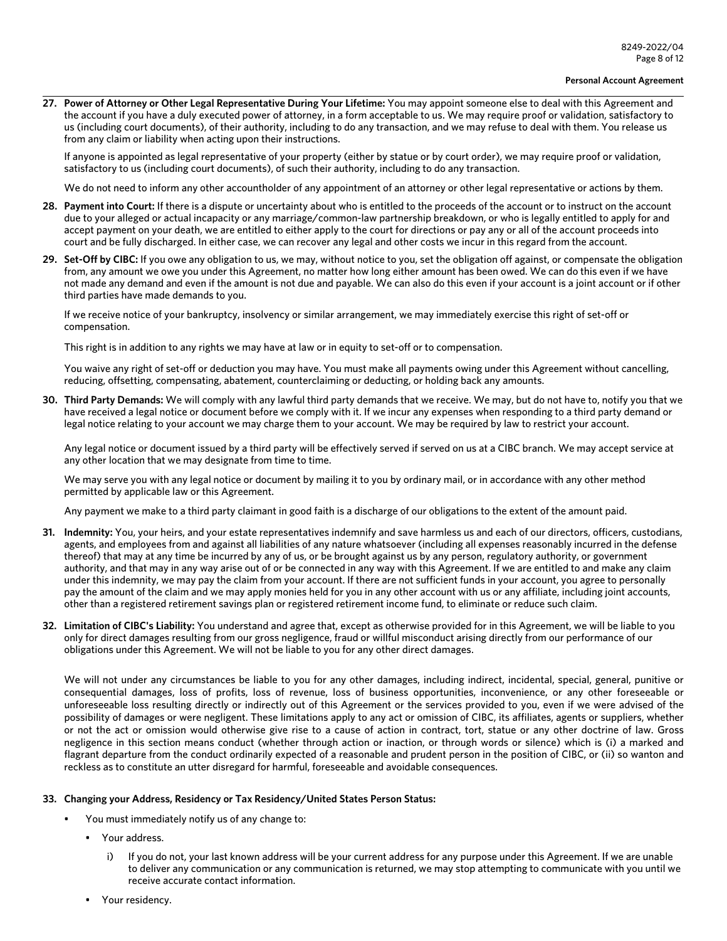**27. Power of Attorney or Other Legal Representative During Your Lifetime:** You may appoint someone else to deal with this Agreement and the account if you have a duly executed power of attorney, in a form acceptable to us. We may require proof or validation, satisfactory to us (including court documents), of their authority, including to do any transaction, and we may refuse to deal with them. You release us from any claim or liability when acting upon their instructions.

If anyone is appointed as legal representative of your property (either by statue or by court order), we may require proof or validation, satisfactory to us (including court documents), of such their authority, including to do any transaction.

We do not need to inform any other accountholder of any appointment of an attorney or other legal representative or actions by them.

- **28. Payment into Court:** If there is a dispute or uncertainty about who is entitled to the proceeds of the account or to instruct on the account due to your alleged or actual incapacity or any marriage/common-law partnership breakdown, or who is legally entitled to apply for and accept payment on your death, we are entitled to either apply to the court for directions or pay any or all of the account proceeds into court and be fully discharged. In either case, we can recover any legal and other costs we incur in this regard from the account.
- **29. Set-Off by CIBC:** If you owe any obligation to us, we may, without notice to you, set the obligation off against, or compensate the obligation from, any amount we owe you under this Agreement, no matter how long either amount has been owed. We can do this even if we have not made any demand and even if the amount is not due and payable. We can also do this even if your account is a joint account or if other third parties have made demands to you.

If we receive notice of your bankruptcy, insolvency or similar arrangement, we may immediately exercise this right of set-off or compensation.

This right is in addition to any rights we may have at law or in equity to set-off or to compensation.

You waive any right of set-off or deduction you may have. You must make all payments owing under this Agreement without cancelling, reducing, offsetting, compensating, abatement, counterclaiming or deducting, or holding back any amounts.

**30. Third Party Demands:** We will comply with any lawful third party demands that we receive. We may, but do not have to, notify you that we have received a legal notice or document before we comply with it. If we incur any expenses when responding to a third party demand or legal notice relating to your account we may charge them to your account. We may be required by law to restrict your account.

Any legal notice or document issued by a third party will be effectively served if served on us at a CIBC branch. We may accept service at any other location that we may designate from time to time.

We may serve you with any legal notice or document by mailing it to you by ordinary mail, or in accordance with any other method permitted by applicable law or this Agreement.

Any payment we make to a third party claimant in good faith is a discharge of our obligations to the extent of the amount paid.

- **31. Indemnity:** You, your heirs, and your estate representatives indemnify and save harmless us and each of our directors, officers, custodians, agents, and employees from and against all liabilities of any nature whatsoever (including all expenses reasonably incurred in the defense thereof) that may at any time be incurred by any of us, or be brought against us by any person, regulatory authority, or government authority, and that may in any way arise out of or be connected in any way with this Agreement. If we are entitled to and make any claim under this indemnity, we may pay the claim from your account. If there are not sufficient funds in your account, you agree to personally pay the amount of the claim and we may apply monies held for you in any other account with us or any affiliate, including joint accounts, other than a registered retirement savings plan or registered retirement income fund, to eliminate or reduce such claim.
- **32. Limitation of CIBC's Liability:** You understand and agree that, except as otherwise provided for in this Agreement, we will be liable to you only for direct damages resulting from our gross negligence, fraud or willful misconduct arising directly from our performance of our obligations under this Agreement. We will not be liable to you for any other direct damages.

We will not under any circumstances be liable to you for any other damages, including indirect, incidental, special, general, punitive or consequential damages, loss of profits, loss of revenue, loss of business opportunities, inconvenience, or any other foreseeable or unforeseeable loss resulting directly or indirectly out of this Agreement or the services provided to you, even if we were advised of the possibility of damages or were negligent. These limitations apply to any act or omission of CIBC, its affiliates, agents or suppliers, whether or not the act or omission would otherwise give rise to a cause of action in contract, tort, statue or any other doctrine of law. Gross negligence in this section means conduct (whether through action or inaction, or through words or silence) which is (i) a marked and flagrant departure from the conduct ordinarily expected of a reasonable and prudent person in the position of CIBC, or (ii) so wanton and reckless as to constitute an utter disregard for harmful, foreseeable and avoidable consequences.

## **33. Changing your Address, Residency or Tax Residency/United States Person Status:**

- You must immediately notify us of any change to:
	- Your address.
		- i) If you do not, your last known address will be your current address for any purpose under this Agreement. If we are unable to deliver any communication or any communication is returned, we may stop attempting to communicate with you until we receive accurate contact information.
	- Your residency.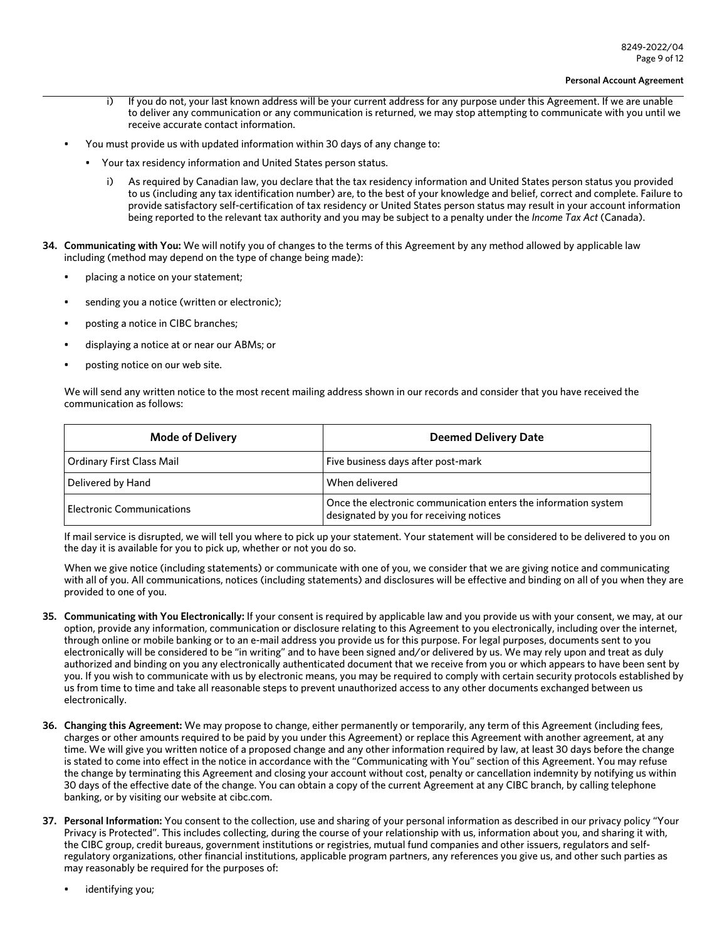- i) If you do not, your last known address will be your current address for any purpose under this Agreement. If we are unable to deliver any communication or any communication is returned, we may stop attempting to communicate with you until we receive accurate contact information.
- You must provide us with updated information within 30 days of any change to:
	- Your tax residency information and United States person status.
		- As required by Canadian law, you declare that the tax residency information and United States person status you provided to us (including any tax identification number) are, to the best of your knowledge and belief, correct and complete. Failure to provide satisfactory self-certification of tax residency or United States person status may result in your account information being reported to the relevant tax authority and you may be subject to a penalty under the *Income Tax Act* (Canada).
- **34. Communicating with You:** We will notify you of changes to the terms of this Agreement by any method allowed by applicable law including (method may depend on the type of change being made):
	- placing a notice on your statement;
	- sending you a notice (written or electronic);
	- posting a notice in CIBC branches;
	- displaying a notice at or near our ABMs; or
	- posting notice on our web site.

We will send any written notice to the most recent mailing address shown in our records and consider that you have received the communication as follows:

| <b>Mode of Delivery</b>          | <b>Deemed Delivery Date</b>                                                                                |
|----------------------------------|------------------------------------------------------------------------------------------------------------|
| Ordinary First Class Mail        | Five business days after post-mark                                                                         |
| Delivered by Hand                | When delivered                                                                                             |
| <b>Electronic Communications</b> | Once the electronic communication enters the information system<br>designated by you for receiving notices |

If mail service is disrupted, we will tell you where to pick up your statement. Your statement will be considered to be delivered to you on the day it is available for you to pick up, whether or not you do so.

When we give notice (including statements) or communicate with one of you, we consider that we are giving notice and communicating with all of you. All communications, notices (including statements) and disclosures will be effective and binding on all of you when they are provided to one of you.

- **35. Communicating with You Electronically:** If your consent is required by applicable law and you provide us with your consent, we may, at our option, provide any information, communication or disclosure relating to this Agreement to you electronically, including over the internet, through online or mobile banking or to an e-mail address you provide us for this purpose. For legal purposes, documents sent to you electronically will be considered to be "in writing" and to have been signed and/or delivered by us. We may rely upon and treat as duly authorized and binding on you any electronically authenticated document that we receive from you or which appears to have been sent by you. If you wish to communicate with us by electronic means, you may be required to comply with certain security protocols established by us from time to time and take all reasonable steps to prevent unauthorized access to any other documents exchanged between us electronically.
- **36. Changing this Agreement:** We may propose to change, either permanently or temporarily, any term of this Agreement (including fees, charges or other amounts required to be paid by you under this Agreement) or replace this Agreement with another agreement, at any time. We will give you written notice of a proposed change and any other information required by law, at least 30 days before the change is stated to come into effect in the notice in accordance with the "Communicating with You" section of this Agreement. You may refuse the change by terminating this Agreement and closing your account without cost, penalty or cancellation indemnity by notifying us within 30 days of the effective date of the change. You can obtain a copy of the current Agreement at any CIBC branch, by calling telephone banking, or by visiting our website at cibc.com.
- **37. Personal Information:** You consent to the collection, use and sharing of your personal information as described in our privacy policy "Your Privacy is Protected". This includes collecting, during the course of your relationship with us, information about you, and sharing it with, the CIBC group, credit bureaus, government institutions or registries, mutual fund companies and other issuers, regulators and selfregulatory organizations, other financial institutions, applicable program partners, any references you give us, and other such parties as may reasonably be required for the purposes of:
	- identifying you;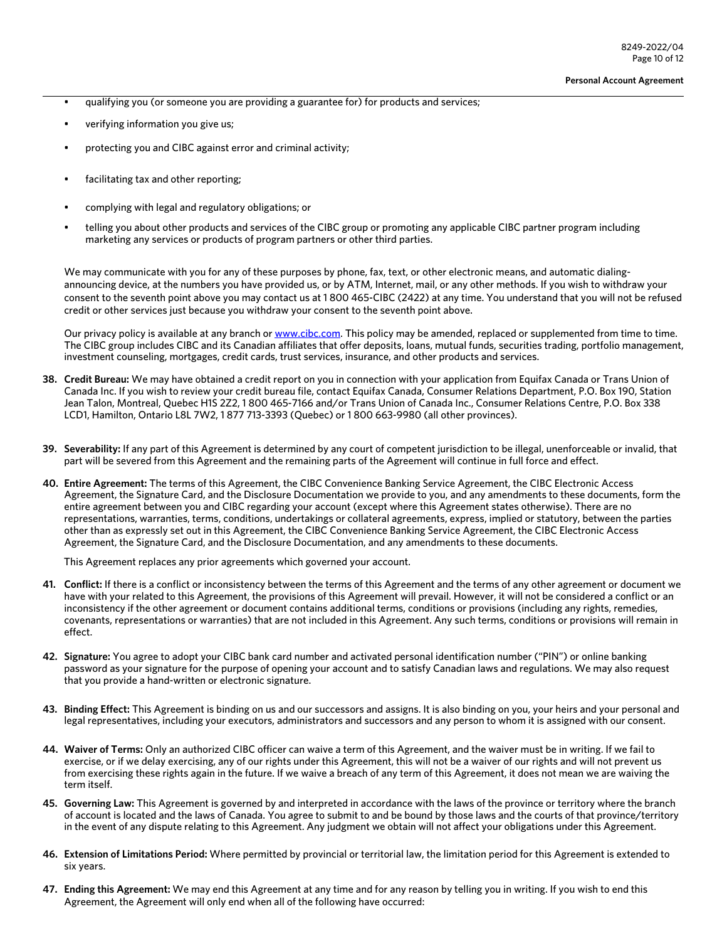- qualifying you (or someone you are providing a guarantee for) for products and services;
- verifying information you give us;
- protecting you and CIBC against error and criminal activity;
- facilitating tax and other reporting;
- complying with legal and regulatory obligations; or
- telling you about other products and services of the CIBC group or promoting any applicable CIBC partner program including marketing any services or products of program partners or other third parties.

We may communicate with you for any of these purposes by phone, fax, text, or other electronic means, and automatic dialingannouncing device, at the numbers you have provided us, or by ATM, Internet, mail, or any other methods. If you wish to withdraw your consent to the seventh point above you may contact us at 1 800 465-CIBC (2422) at any time. You understand that you will not be refused credit or other services just because you withdraw your consent to the seventh point above.

Our privacy policy is available at any branch or [www.cibc.com.](www.cibc.com) This policy may be amended, replaced or supplemented from time to time. The CIBC group includes CIBC and its Canadian affiliates that offer deposits, loans, mutual funds, securities trading, portfolio management, investment counseling, mortgages, credit cards, trust services, insurance, and other products and services.

- **38. Credit Bureau:** We may have obtained a credit report on you in connection with your application from Equifax Canada or Trans Union of Canada Inc. If you wish to review your credit bureau file, contact Equifax Canada, Consumer Relations Department, P.O. Box 190, Station Jean Talon, Montreal, Quebec H1S 2Z2, 1 800 465-7166 and/or Trans Union of Canada Inc., Consumer Relations Centre, P.O. Box 338 LCD1, Hamilton, Ontario L8L 7W2, 1 877 713-3393 (Quebec) or 1 800 663-9980 (all other provinces).
- **39. Severability:** If any part of this Agreement is determined by any court of competent jurisdiction to be illegal, unenforceable or invalid, that part will be severed from this Agreement and the remaining parts of the Agreement will continue in full force and effect.
- **40. Entire Agreement:** The terms of this Agreement, the CIBC Convenience Banking Service Agreement, the CIBC Electronic Access Agreement, the Signature Card, and the Disclosure Documentation we provide to you, and any amendments to these documents, form the entire agreement between you and CIBC regarding your account (except where this Agreement states otherwise). There are no representations, warranties, terms, conditions, undertakings or collateral agreements, express, implied or statutory, between the parties other than as expressly set out in this Agreement, the CIBC Convenience Banking Service Agreement, the CIBC Electronic Access Agreement, the Signature Card, and the Disclosure Documentation, and any amendments to these documents.

This Agreement replaces any prior agreements which governed your account.

- **41. Conflict:** If there is a conflict or inconsistency between the terms of this Agreement and the terms of any other agreement or document we have with your related to this Agreement, the provisions of this Agreement will prevail. However, it will not be considered a conflict or an inconsistency if the other agreement or document contains additional terms, conditions or provisions (including any rights, remedies, covenants, representations or warranties) that are not included in this Agreement. Any such terms, conditions or provisions will remain in effect.
- **42. Signature:** You agree to adopt your CIBC bank card number and activated personal identification number ("PIN") or online banking password as your signature for the purpose of opening your account and to satisfy Canadian laws and regulations. We may also request that you provide a hand-written or electronic signature.
- **43. Binding Effect:** This Agreement is binding on us and our successors and assigns. It is also binding on you, your heirs and your personal and legal representatives, including your executors, administrators and successors and any person to whom it is assigned with our consent.
- **44. Waiver of Terms:** Only an authorized CIBC officer can waive a term of this Agreement, and the waiver must be in writing. If we fail to exercise, or if we delay exercising, any of our rights under this Agreement, this will not be a waiver of our rights and will not prevent us from exercising these rights again in the future. If we waive a breach of any term of this Agreement, it does not mean we are waiving the term itself.
- **45. Governing Law:** This Agreement is governed by and interpreted in accordance with the laws of the province or territory where the branch of account is located and the laws of Canada. You agree to submit to and be bound by those laws and the courts of that province/territory in the event of any dispute relating to this Agreement. Any judgment we obtain will not affect your obligations under this Agreement.
- **46. Extension of Limitations Period:** Where permitted by provincial or territorial law, the limitation period for this Agreement is extended to six years.
- **47. Ending this Agreement:** We may end this Agreement at any time and for any reason by telling you in writing. If you wish to end this Agreement, the Agreement will only end when all of the following have occurred: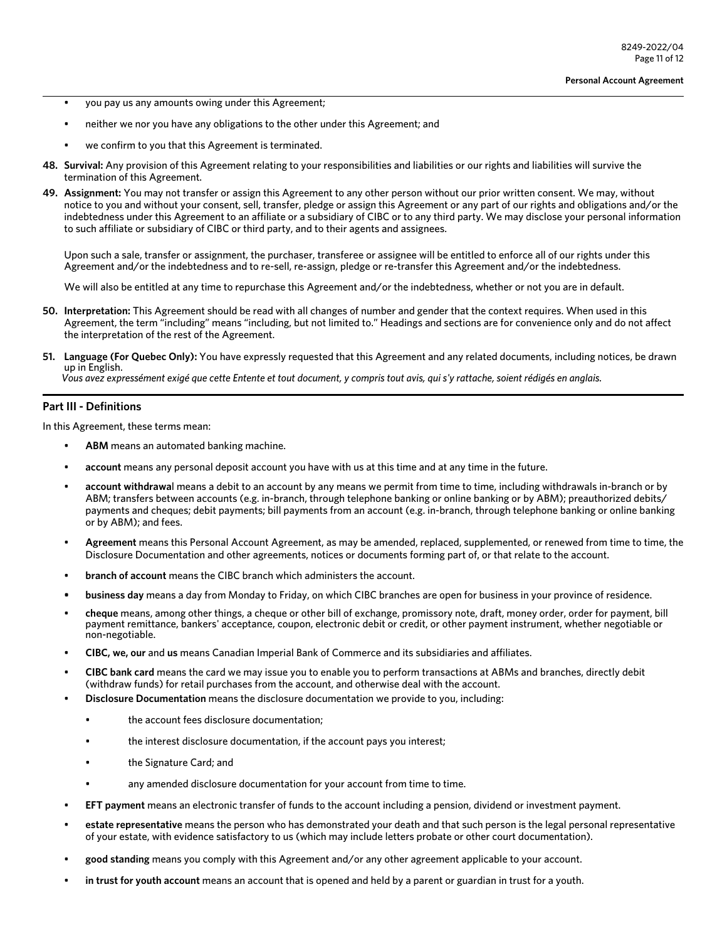- you pay us any amounts owing under this Agreement;
- neither we nor you have any obligations to the other under this Agreement; and
- we confirm to you that this Agreement is terminated.
- **48. Survival:** Any provision of this Agreement relating to your responsibilities and liabilities or our rights and liabilities will survive the termination of this Agreement.
- **49. Assignment:** You may not transfer or assign this Agreement to any other person without our prior written consent. We may, without notice to you and without your consent, sell, transfer, pledge or assign this Agreement or any part of our rights and obligations and/or the indebtedness under this Agreement to an affiliate or a subsidiary of CIBC or to any third party. We may disclose your personal information to such affiliate or subsidiary of CIBC or third party, and to their agents and assignees.

Upon such a sale, transfer or assignment, the purchaser, transferee or assignee will be entitled to enforce all of our rights under this Agreement and/or the indebtedness and to re-sell, re-assign, pledge or re-transfer this Agreement and/or the indebtedness.

We will also be entitled at any time to repurchase this Agreement and/or the indebtedness, whether or not you are in default.

- **50. Interpretation:** This Agreement should be read with all changes of number and gender that the context requires. When used in this Agreement, the term "including" means "including, but not limited to." Headings and sections are for convenience only and do not affect the interpretation of the rest of the Agreement.
- **51. Language (For Quebec Only):** You have expressly requested that this Agreement and any related documents, including notices, be drawn up in English.

*Vous avez expressément exigé que cette Entente et tout document, y compris tout avis, qui s'y rattache, soient rédigés en anglais.* 

## **Part III - Definitions**

In this Agreement, these terms mean:

- ABM means an automated banking machine.
- **account** means any personal deposit account you have with us at this time and at any time in the future.
- **account withdrawa**l means a debit to an account by any means we permit from time to time, including withdrawals in-branch or by ABM; transfers between accounts (e.g. in-branch, through telephone banking or online banking or by ABM); preauthorized debits/ payments and cheques; debit payments; bill payments from an account (e.g. in-branch, through telephone banking or online banking or by ABM); and fees.
- **Agreement** means this Personal Account Agreement, as may be amended, replaced, supplemented, or renewed from time to time, the Disclosure Documentation and other agreements, notices or documents forming part of, or that relate to the account.
- **branch of account** means the CIBC branch which administers the account.
- **• business day** means a day from Monday to Friday, on which CIBC branches are open for business in your province of residence.
- **cheque** means, among other things, a cheque or other bill of exchange, promissory note, draft, money order, order for payment, bill payment remittance, bankers' acceptance, coupon, electronic debit or credit, or other payment instrument, whether negotiable or non-negotiable.
- **CIBC, we, our** and **us** means Canadian Imperial Bank of Commerce and its subsidiaries and affiliates.
- **CIBC bank card** means the card we may issue you to enable you to perform transactions at ABMs and branches, directly debit (withdraw funds) for retail purchases from the account, and otherwise deal with the account.
- **Disclosure Documentation** means the disclosure documentation we provide to you, including:
	- the account fees disclosure documentation;
	- the interest disclosure documentation, if the account pays you interest;
	- the Signature Card; and
	- any amended disclosure documentation for your account from time to time.
- **EFT payment** means an electronic transfer of funds to the account including a pension, dividend or investment payment.
- **estate representative** means the person who has demonstrated your death and that such person is the legal personal representative of your estate, with evidence satisfactory to us (which may include letters probate or other court documentation).
- **good standing** means you comply with this Agreement and/or any other agreement applicable to your account.
- **in trust for youth account** means an account that is opened and held by a parent or guardian in trust for a youth.